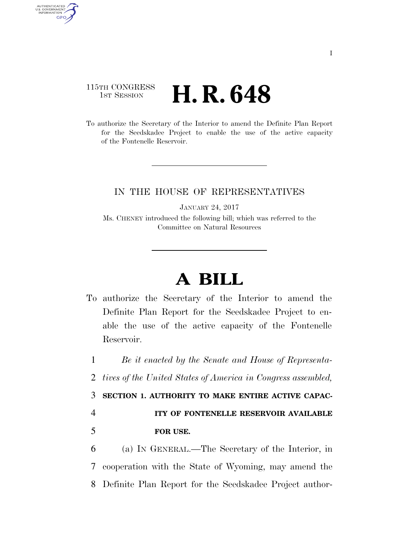## 115TH CONGRESS **1st Session H. R. 648**

AUTHENTICATED<br>U.S. GOVERNMENT<br>INFORMATION **GPO** 

> To authorize the Secretary of the Interior to amend the Definite Plan Report for the Seedskadee Project to enable the use of the active capacity of the Fontenelle Reservoir.

## IN THE HOUSE OF REPRESENTATIVES

JANUARY 24, 2017

Ms. CHENEY introduced the following bill; which was referred to the Committee on Natural Resources

## **A BILL**

To authorize the Secretary of the Interior to amend the Definite Plan Report for the Seedskadee Project to enable the use of the active capacity of the Fontenelle Reservoir.

1 *Be it enacted by the Senate and House of Representa-*

2 *tives of the United States of America in Congress assembled,* 

3 **SECTION 1. AUTHORITY TO MAKE ENTIRE ACTIVE CAPAC-**

4 **ITY OF FONTENELLE RESERVOIR AVAILABLE**  5 **FOR USE.** 

6 (a) IN GENERAL.—The Secretary of the Interior, in 7 cooperation with the State of Wyoming, may amend the 8 Definite Plan Report for the Seedskadee Project author-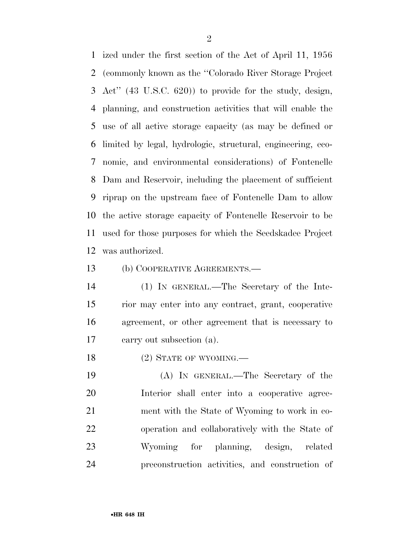ized under the first section of the Act of April 11, 1956 (commonly known as the ''Colorado River Storage Project Act'' (43 U.S.C. 620)) to provide for the study, design, planning, and construction activities that will enable the use of all active storage capacity (as may be defined or limited by legal, hydrologic, structural, engineering, eco- nomic, and environmental considerations) of Fontenelle Dam and Reservoir, including the placement of sufficient riprap on the upstream face of Fontenelle Dam to allow the active storage capacity of Fontenelle Reservoir to be used for those purposes for which the Seedskadee Project was authorized.

(b) COOPERATIVE AGREEMENTS.—

 (1) IN GENERAL.—The Secretary of the Inte- rior may enter into any contract, grant, cooperative agreement, or other agreement that is necessary to carry out subsection (a).

18 (2) STATE OF WYOMING.

 (A) IN GENERAL.—The Secretary of the Interior shall enter into a cooperative agree- ment with the State of Wyoming to work in co- operation and collaboratively with the State of Wyoming for planning, design, related preconstruction activities, and construction of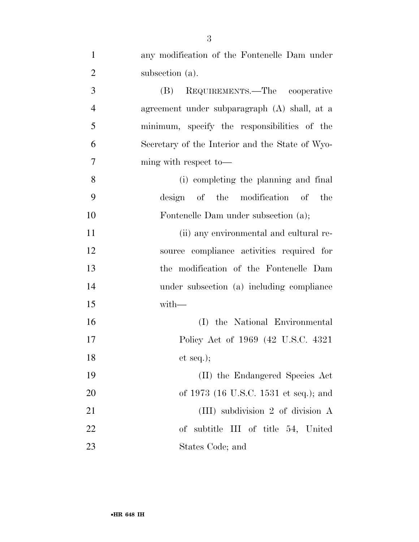| $\mathbf{1}$   | any modification of the Fontenelle Dam under    |
|----------------|-------------------------------------------------|
| $\overline{2}$ | subsection (a).                                 |
| 3              | REQUIREMENTS.—The cooperative<br>(B)            |
| $\overline{4}$ | agreement under subparagraph (A) shall, at a    |
| 5              | minimum, specify the responsibilities of the    |
| 6              | Secretary of the Interior and the State of Wyo- |
| 7              | ming with respect to-                           |
| 8              | (i) completing the planning and final           |
| 9              | design of the modification of the               |
| 10             | Fontenelle Dam under subsection (a);            |
| 11             | (ii) any environmental and cultural re-         |
| 12             | source compliance activities required for       |
| 13             | the modification of the Fontenelle Dam          |
| 14             | under subsection (a) including compliance       |
| 15             | $with-$                                         |
| 16             | (I) the National Environmental                  |
| 17             | Policy Act of 1969 (42 U.S.C. 4321)             |
| 18             | et seq.);                                       |
| 19             | (II) the Endangered Species Act                 |
| 20             | of 1973 (16 U.S.C. 1531 et seq.); and           |
| 21             | (III) subdivision 2 of division A               |
| 22             | of subtitle III of title 54, United             |
| 23             | States Code; and                                |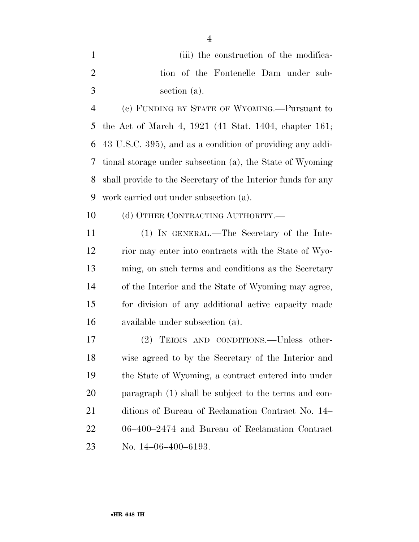| (iii) the construction of the modifica- |
|-----------------------------------------|
| tion of the Fontenelle Dam under sub-   |
| section (a).                            |

 (c) FUNDING BY STATE OF WYOMING.—Pursuant to the Act of March 4, 1921 (41 Stat. 1404, chapter 161; 43 U.S.C. 395), and as a condition of providing any addi- tional storage under subsection (a), the State of Wyoming shall provide to the Secretary of the Interior funds for any work carried out under subsection (a).

10 (d) OTHER CONTRACTING AUTHORITY.—

 (1) IN GENERAL.—The Secretary of the Inte- rior may enter into contracts with the State of Wyo- ming, on such terms and conditions as the Secretary of the Interior and the State of Wyoming may agree, for division of any additional active capacity made available under subsection (a).

 (2) TERMS AND CONDITIONS.—Unless other- wise agreed to by the Secretary of the Interior and the State of Wyoming, a contract entered into under paragraph (1) shall be subject to the terms and con- ditions of Bureau of Reclamation Contract No. 14– 06–400–2474 and Bureau of Reclamation Contract No. 14–06–400–6193.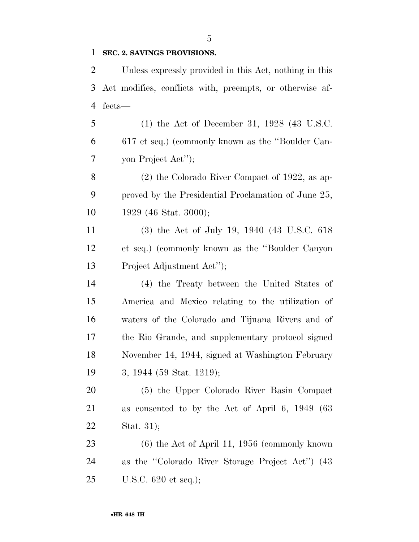## **SEC. 2. SAVINGS PROVISIONS.**

 Unless expressly provided in this Act, nothing in this Act modifies, conflicts with, preempts, or otherwise af-fects—

 (1) the Act of December 31, 1928 (43 U.S.C. 617 et seq.) (commonly known as the ''Boulder Can-yon Project Act'');

 (2) the Colorado River Compact of 1922, as ap- proved by the Presidential Proclamation of June 25, 1929 (46 Stat. 3000);

 (3) the Act of July 19, 1940 (43 U.S.C. 618 et seq.) (commonly known as the ''Boulder Canyon Project Adjustment Act'');

 (4) the Treaty between the United States of America and Mexico relating to the utilization of waters of the Colorado and Tijuana Rivers and of the Rio Grande, and supplementary protocol signed November 14, 1944, signed at Washington February 3, 1944 (59 Stat. 1219);

 (5) the Upper Colorado River Basin Compact as consented to by the Act of April 6, 1949 (63 Stat. 31);

 (6) the Act of April 11, 1956 (commonly known as the ''Colorado River Storage Project Act'') (43 U.S.C. 620 et seq.);